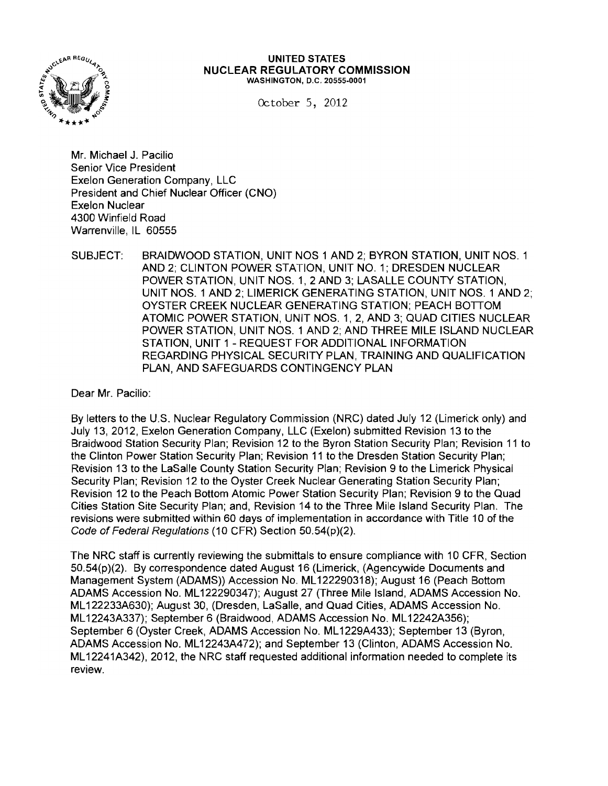

## **UNITED STATES NUCLEAR REGULATORY COMMISSION** WASHINGTON, D.C. 20555·0001

October 5, 2012

Mr. Michael J. Pacilio Senior Vice President Exelon Generation Company, LLC President and Chief Nuclear Officer (CNO) Exelon Nuclear 4300 Winfield Road Warrenville, IL 60555

SUBJECT: BRAIDWOOD STATION, UNIT NOS 1 AND 2; BYRON STATION, UNIT NOS. 1 AND 2; CLINTON POWER STATION, UNIT NO.1; DRESDEN NUCLEAR POWER STATION, UNIT NOS. 1, 2AND 3; LASALLE COUNTY STATION, UNIT NOS. 1 AND 2; LIMERICK GENERATING STATION, UNIT NOS. 1 AND 2; OYSTER CREEK NUCLEAR GENERATING STATION; PEACH BOTTOM ATOMIC POWER STATION, UNIT NOS. 1,2, AND 3; QUAD CITIES NUCLEAR POWER STATION, UNIT NOS. 1 AND 2; AND THREE MILE ISLAND NUCLEAR STATION, UNIT 1 - REQUEST FOR ADDITIONAL INFORMATION REGARDING PHYSICAL SECURITY PLAN, TRAINING AND QUALIFICATION PLAN, AND SAFEGUARDS CONTINGENCY PLAN

Dear Mr. Pacilio:

By letters to the U.S. Nuclear Regulatory Commission (NRC) dated July 12 (Limerick only) and July 13, 2012, Exelon Generation Company, LLC (Exelon) submitted Revision 13 to the Braidwood Station Security Plan; Revision 12 to the Byron Station Security Plan; Revision 11 to the Clinton Power Station Security Plan; Revision 11 to the Dresden Station Security Plan; Revision 13 to the LaSalle County Station Security Plan; Revision 9 to the Limerick Physical Security Plan; Revision 12 to the Oyster Creek Nuclear Generating Station Security Plan; Revision 12 to the Peach Bottom Atomic Power Station Security Plan; Revision 9 to the Quad Cities Station Site Security Plan; and, Revision 14 to the Three Mile Island Security Plan. The revisions were submitted within 60 days of implementation in accordance with Title 10 of the Code of Federal Regulations (10 CFR) Section 50.54(p)(2).

The NRC staff is currently reviewing the submittals to ensure compliance with 10 CFR, Section 50.54(p)(2). By correspondence dated August 16 (Limerick, (Agencywide Documents and Management System (ADAMS)) Accession No. ML122290318); August 16 (Peach Bottom ADAMS Accession No. ML 122290347); August 27 (Three Mile Island, ADAMS Accession No. ML 122233A630); August 30, (Dresden, LaSalle, and Quad Cities, ADAMS Accession No. ML 12243A337); September 6 (Braidwood, ADAMS Accession No. ML 12242A356); September 6 (Oyster Creek, ADAMS Accession No. ML 1229A433); September 13 (Byron, ADAMS Accession No. ML12243A472); and September 13 (Clinton, ADAMS Accession No. ML 12241A342), 2012, the NRC staff requested additional information needed to complete its review.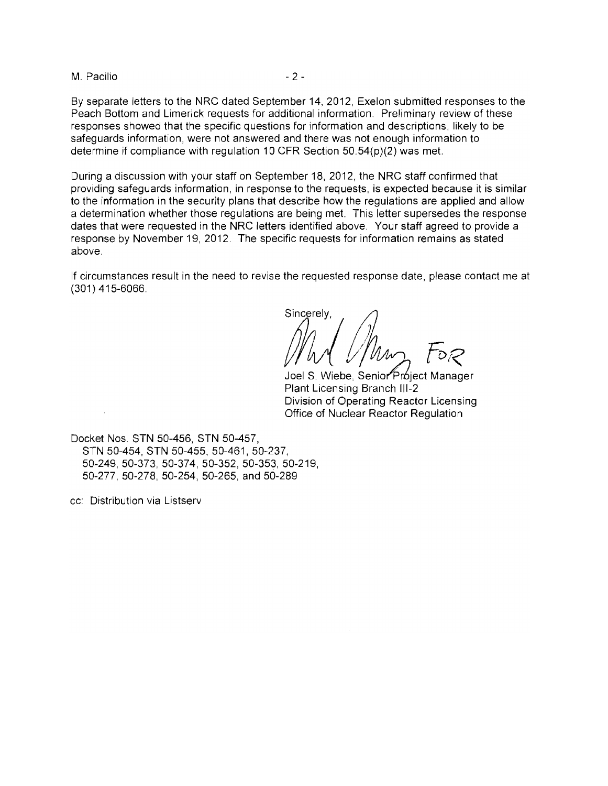M. Pacilio  $-2-$ 

By separate letters to the NRC dated September 14, 2012, Exelon submitted responses to the Peach Bottom and Limerick requests for additional information. Preliminary review of these responses showed that the specific questions for information and descriptions, likely to be safeguards information, were not answered and there was not enough information to determine if compliance with regulation 10 CFR Section 50.54(p)(2) was met.

During a discussion with your staff on September 18, 2012, the NRC staff confirmed that providing safeguards information, in response to the requests, is expected because it is similar to the information in the security plans that describe how the regulations are applied and allow a determination whether those regulations are being met. This letter supersedes the response dates that were requested in the NRC letters identified above. Your staff agreed to provide a response by November 19, 2012. The specific requests for information remains as stated above.

If circumstances result in the need to revise the requested response date, please contact me at (301) 415-6066.

Sincerely.

Joel S. Wiebe, Senior Próject Manager Plant Licensing Branch 111-2 Division of Operating Reactor Licensing Office of Nuclear Reactor Regulation

Docket Nos. STN 50-456, STN 50-457, STN 50-454, STN 50-455, 50-461, 50-237, 50-249, 50-373, 50-374, 50-352,50-353, 50-219, 50-277,50-278, 50-254, 50-265, and 50-289

cc: Distribution via Listserv